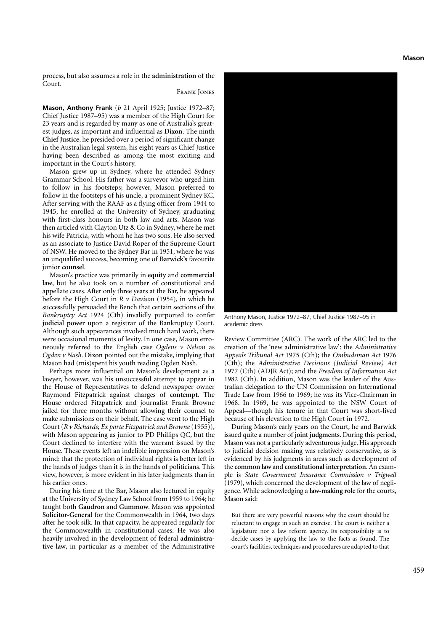process, but also assumes a role in the **administration** of the Court.

## Frank Jones

**Mason, Anthony Frank** (*b* 21 April 1925; Justice 1972–87; Chief Justice 1987–95) was a member of the High Court for 23 years and is regarded by many as one of Australia's greatest judges, as important and influential as **Dixon**. The ninth **Chief Justice**, he presided over a period of significant change in the Australian legal system, his eight years as Chief Justice having been described as among the most exciting and important in the Court's history.

Mason grew up in Sydney, where he attended Sydney Grammar School. His father was a surveyor who urged him to follow in his footsteps; however, Mason preferred to follow in the footsteps of his uncle, a prominent Sydney KC. After serving with the RAAF as a flying officer from 1944 to 1945, he enrolled at the University of Sydney, graduating with first-class honours in both law and arts. Mason was then articled with Clayton Utz & Co in Sydney, where he met his wife Patricia, with whom he has two sons. He also served as an associate to Justice David Roper of the Supreme Court of NSW. He moved to the Sydney Bar in 1951, where he was an unqualified success, becoming one of **Barwick's** favourite junior **counsel**.

Mason's practice was primarily in **equity** and **commercial law**, but he also took on a number of constitutional and appellate cases. After only three years at the Bar, he appeared before the High Court in *R v Davison* (1954), in which he successfully persuaded the Bench that certain sections of the *Bankruptcy Act* 1924 (Cth) invalidly purported to confer **judicial power** upon a registrar of the Bankruptcy Court. Although such appearances involved much hard work, there were occasional moments of levity. In one case, Mason erroneously referred to the English case *Ogdens v Nelson* as *Ogden v Nash*. **Dixon** pointed out the mistake, implying that Mason had (mis)spent his youth reading Ogden Nash.

Perhaps more influential on Mason's development as a lawyer, however, was his unsuccessful attempt to appear in the House of Representatives to defend newspaper owner Raymond Fitzpatrick against charges of **contempt**. The House ordered Fitzpatrick and journalist Frank Browne jailed for three months without allowing their counsel to make submissions on their behalf. The case went to the High Court (*R v Richards; Ex parte Fitzpatrick and Browne* (1955)), with Mason appearing as junior to PD Phillips QC, but the Court declined to interfere with the warrant issued by the House. These events left an indelible impression on Mason's mind: that the protection of individual rights is better left in the hands of judges than it is in the hands of politicians. This view, however, is more evident in his later judgments than in his earlier ones.

During his time at the Bar, Mason also lectured in equity at the University of Sydney Law School from 1959 to 1964; he taught both **Gaudron** and **Gummow**. Mason was appointed **Solicitor-General** for the Commonwealth in 1964, two days after he took silk. In that capacity, he appeared regularly for the Commonwealth in constitutional cases. He was also heavily involved in the development of federal **administrative law**, in particular as a member of the Administrative



Anthony Mason, Justice 1972–87, Chief Justice 1987–95 in academic dress

Review Committee (ARC). The work of the ARC led to the creation of the 'new administrative law': the *Administrative Appeals Tribunal Act* 1975 (Cth); the *Ombudsman Act* 1976 (Cth); the *Administrative Decisions (Judicial Review) Act* 1977 (Cth) (ADJR Act); and the *Freedom of Information Act* 1982 (Cth). In addition, Mason was the leader of the Australian delegation to the UN Commission on International Trade Law from 1966 to 1969; he was its Vice-Chairman in 1968. In 1969, he was appointed to the NSW Court of Appeal—though his tenure in that Court was short-lived because of his elevation to the High Court in 1972.

During Mason's early years on the Court, he and Barwick issued quite a number of **joint judgments**. During this period, Mason was not a particularly adventurous judge. His approach to judicial decision making was relatively conservative, as is evidenced by his judgments in areas such as development of the **common law** and **constitutional interpretation**. An example is *State Government Insurance Commission v Trigwell* (1979), which concerned the development of the law of negligence. While acknowledging a **law-making role** for the courts, Mason said:

But there are very powerful reasons why the court should be reluctant to engage in such an exercise. The court is neither a legislature nor a law reform agency. Its responsibility is to decide cases by applying the law to the facts as found. The court's facilities, techniques and procedures are adapted to that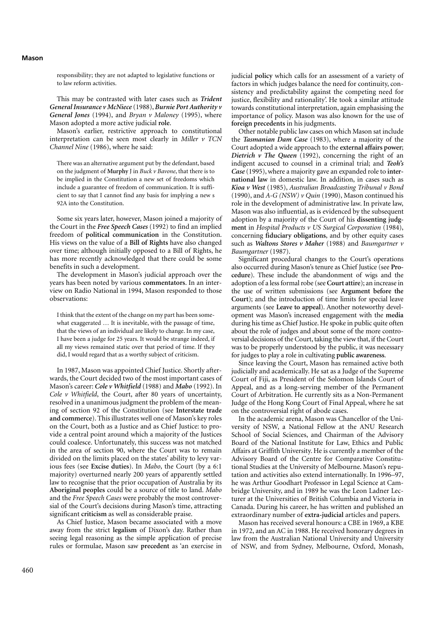responsibility; they are not adapted to legislative functions or to law reform activities.

This may be contrasted with later cases such as *Trident General Insurance v McNiece* (1988), *Burnie Port Authority v General Jones* (1994), and *Bryan v Maloney* (1995), where Mason adopted a more active judicial **role**.

Mason's earlier, restrictive approach to constitutional interpretation can be seen most clearly in *Miller v TCN Channel Nine* (1986), where he said:

There was an alternative argument put by the defendant, based on the judgment of **Murphy** J in *Buck v Bavone*, that there is to be implied in the Constitution a new set of freedoms which include a guarantee of freedom of communication. It is sufficient to say that I cannot find any basis for implying a new s 92A into the Constitution.

Some six years later, however, Mason joined a majority of the Court in the *Free Speech Cases* (1992) to find an implied freedom of **political communication** in the Constitution. His views on the value of a **Bill of Rights** have also changed over time; although initially opposed to a Bill of Rights, he has more recently acknowledged that there could be some benefits in such a development.

The development in Mason's judicial approach over the years has been noted by various **commentators**. In an interview on Radio National in 1994, Mason responded to those observations:

I think that the extent of the change on my part has been somewhat exaggerated … It is inevitable, with the passage of time, that the views of an individual are likely to change. In my case, I have been a judge for 25 years. It would be strange indeed, if all my views remained static over that period of time. If they did, I would regard that as a worthy subject of criticism.

In 1987, Mason was appointed Chief Justice. Shortly afterwards, the Court decided two of the most important cases of Mason's career: *Cole v Whitfield* (1988) and *Mabo* (1992). In *Cole v Whitfield*, the Court, after 80 years of uncertainty, resolved in a unanimous judgment the problem of the meaning of section 92 of the Constitution (see **Interstate trade and commerce**). This illustrates well one of Mason's key roles on the Court, both as a Justice and as Chief Justice: to provide a central point around which a majority of the Justices could coalesce. Unfortunately, this success was not matched in the area of section 90, where the Court was to remain divided on the limits placed on the states' ability to levy various fees (see **Excise duties**). In *Mabo*, the Court (by a 6:1 majority) overturned nearly 200 years of apparently settled law to recognise that the prior occupation of Australia by its **Aboriginal peoples** could be a source of title to land. *Mabo* and the *Free Speech Cases* were probably the most controversial of the Court's decisions during Mason's time, attracting significant **criticism** as well as considerable praise.

As Chief Justice, Mason became associated with a move away from the strict **legalism** of Dixon's day. Rather than seeing legal reasoning as the simple application of precise rules or formulae, Mason saw **precedent** as 'an exercise in

judicial **policy** which calls for an assessment of a variety of factors in which judges balance the need for continuity, consistency and predictability against the competing need for justice, flexibility and rationality'. He took a similar attitude towards constitutional interpretation, again emphasising the importance of policy. Mason was also known for the use of **foreign precedents** in his judgments.

Other notable public law cases on which Mason sat include the *Tasmanian Dam Case* (1983), where a majority of the Court adopted a wide approach to the **external affairs power**; *Dietrich v The Queen* (1992), concerning the right of an indigent accused to counsel in a criminal trial; and *Teoh's Case* (1995), where a majority gave an expanded role to **international law** in domestic law. In addition, in cases such as *Kioa v West* (1985), *Australian Broadcasting Tribunal v Bond* (1990), and *A-G (NSW) v Quin* (1990), Mason continued his role in the development of administrative law. In private law, Mason was also influential, as is evidenced by the subsequent adoption by a majority of the Court of his **dissenting judgment** in *Hospital Products v US Surgical Corporation* (1984), concerning **fiduciary obligations**, and by other equity cases such as *Waltons Stores v Maher* (1988) and *Baumgartner v Baumgartner* (1987).

Significant procedural changes to the Court's operations also occurred during Mason's tenure as Chief Justice (see **Procedure**). These include the abandonment of wigs and the adoption of a less formal robe (see **Court attire**); an increase in the use of written submissions (see **Argument before the Court**); and the introduction of time limits for special leave arguments (see **Leave to appeal**). Another noteworthy development was Mason's increased engagement with the **media** during his time as Chief Justice. He spoke in public quite often about the role of judges and about some of the more controversial decisions of the Court, taking the view that, if the Court was to be properly understood by the public, it was necessary for judges to play a role in cultivating **public awareness**.

Since leaving the Court, Mason has remained active both judicially and academically. He sat as a Judge of the Supreme Court of Fiji, as President of the Solomon Islands Court of Appeal, and as a long-serving member of the Permanent Court of Arbitration. He currently sits as a Non-Permanent Judge of the Hong Kong Court of Final Appeal, where he sat on the controversial right of abode cases.

In the academic arena, Mason was Chancellor of the University of NSW, a National Fellow at the ANU Research School of Social Sciences, and Chairman of the Advisory Board of the National Institute for Law, Ethics and Public Affairs at Griffith University. He is currently a member of the Advisory Board of the Centre for Comparative Constitutional Studies at the University of Melbourne. Mason's reputation and activities also extend internationally. In 1996–97, he was Arthur Goodhart Professor in Legal Science at Cambridge University, and in 1989 he was the Leon Ladner Lecturer at the Universities of British Columbia and Victoria in Canada. During his career, he has written and published an extraordinary number of **extra-judicial** articles and papers.

Mason has received several honours: a CBE in 1969, a KBE in 1972, and an AC in 1988. He received honorary degrees in law from the Australian National University and University of NSW, and from Sydney, Melbourne, Oxford, Monash,